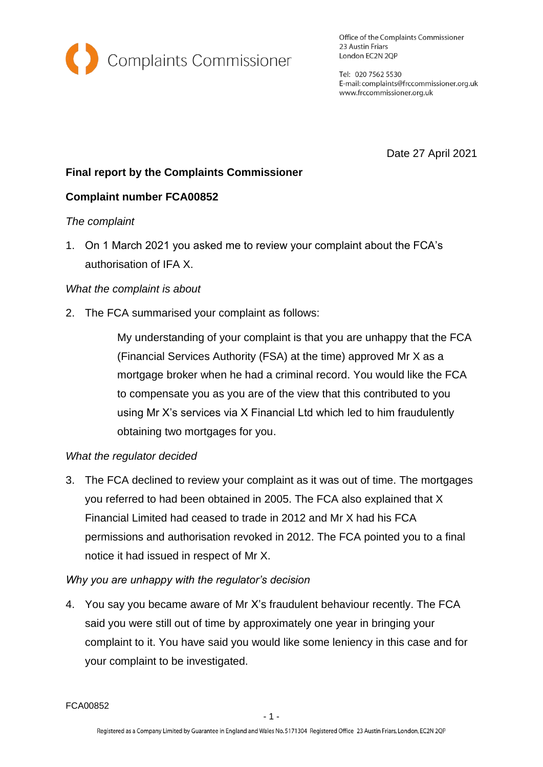

Office of the Complaints Commissioner 23 Austin Friars London EC2N 2QP

Tel: 020 7562 5530 E-mail: complaints@frccommissioner.org.uk www.frccommissioner.org.uk

Date 27 April 2021

# **Final report by the Complaints Commissioner**

## **Complaint number FCA00852**

### *The complaint*

1. On 1 March 2021 you asked me to review your complaint about the FCA's authorisation of IFA X.

### *What the complaint is about*

2. The FCA summarised your complaint as follows:

My understanding of your complaint is that you are unhappy that the FCA (Financial Services Authority (FSA) at the time) approved Mr X as a mortgage broker when he had a criminal record. You would like the FCA to compensate you as you are of the view that this contributed to you using Mr X's services via X Financial Ltd which led to him fraudulently obtaining two mortgages for you.

## *What the regulator decided*

3. The FCA declined to review your complaint as it was out of time. The mortgages you referred to had been obtained in 2005. The FCA also explained that X Financial Limited had ceased to trade in 2012 and Mr X had his FCA permissions and authorisation revoked in 2012. The FCA pointed you to a final notice it had issued in respect of Mr X.

## *Why you are unhappy with the regulator's decision*

4. You say you became aware of Mr X's fraudulent behaviour recently. The FCA said you were still out of time by approximately one year in bringing your complaint to it. You have said you would like some leniency in this case and for your complaint to be investigated.

FCA00852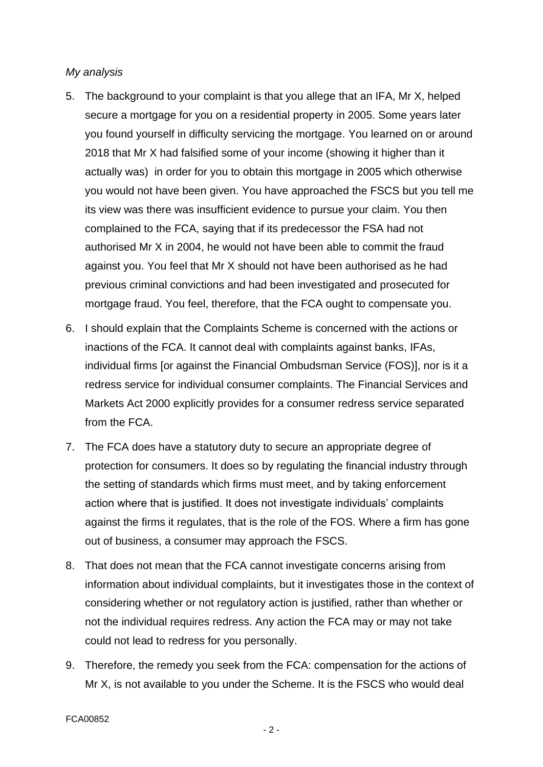#### *My analysis*

- 5. The background to your complaint is that you allege that an IFA, Mr X, helped secure a mortgage for you on a residential property in 2005. Some years later you found yourself in difficulty servicing the mortgage. You learned on or around 2018 that Mr X had falsified some of your income (showing it higher than it actually was) in order for you to obtain this mortgage in 2005 which otherwise you would not have been given. You have approached the FSCS but you tell me its view was there was insufficient evidence to pursue your claim. You then complained to the FCA, saying that if its predecessor the FSA had not authorised Mr X in 2004, he would not have been able to commit the fraud against you. You feel that Mr X should not have been authorised as he had previous criminal convictions and had been investigated and prosecuted for mortgage fraud. You feel, therefore, that the FCA ought to compensate you.
- 6. I should explain that the Complaints Scheme is concerned with the actions or inactions of the FCA. It cannot deal with complaints against banks, IFAs, individual firms [or against the Financial Ombudsman Service (FOS)], nor is it a redress service for individual consumer complaints. The Financial Services and Markets Act 2000 explicitly provides for a consumer redress service separated from the FCA.
- 7. The FCA does have a statutory duty to secure an appropriate degree of protection for consumers. It does so by regulating the financial industry through the setting of standards which firms must meet, and by taking enforcement action where that is justified. It does not investigate individuals' complaints against the firms it regulates, that is the role of the FOS. Where a firm has gone out of business, a consumer may approach the FSCS.
- 8. That does not mean that the FCA cannot investigate concerns arising from information about individual complaints, but it investigates those in the context of considering whether or not regulatory action is justified, rather than whether or not the individual requires redress. Any action the FCA may or may not take could not lead to redress for you personally.
- 9. Therefore, the remedy you seek from the FCA: compensation for the actions of Mr X, is not available to you under the Scheme. It is the FSCS who would deal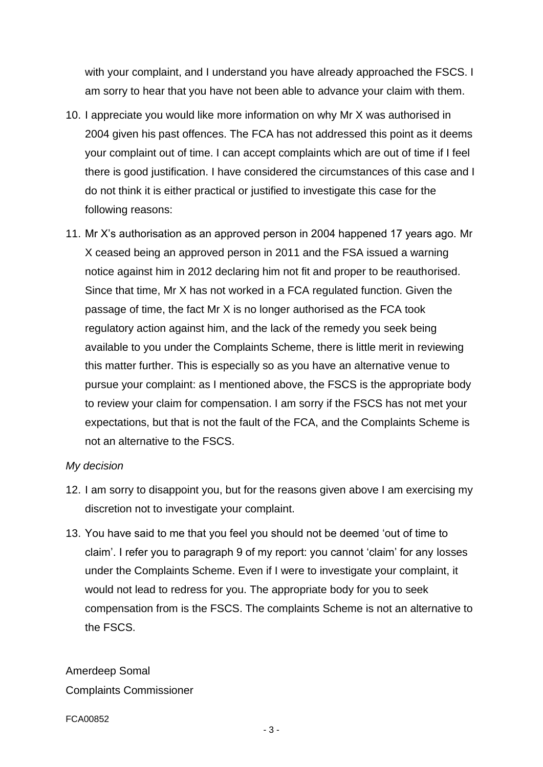with your complaint, and I understand you have already approached the FSCS. I am sorry to hear that you have not been able to advance your claim with them.

- 10. I appreciate you would like more information on why Mr X was authorised in 2004 given his past offences. The FCA has not addressed this point as it deems your complaint out of time. I can accept complaints which are out of time if I feel there is good justification. I have considered the circumstances of this case and I do not think it is either practical or justified to investigate this case for the following reasons:
- 11. Mr X's authorisation as an approved person in 2004 happened 17 years ago. Mr X ceased being an approved person in 2011 and the FSA issued a warning notice against him in 2012 declaring him not fit and proper to be reauthorised. Since that time, Mr X has not worked in a FCA regulated function. Given the passage of time, the fact Mr X is no longer authorised as the FCA took regulatory action against him, and the lack of the remedy you seek being available to you under the Complaints Scheme, there is little merit in reviewing this matter further. This is especially so as you have an alternative venue to pursue your complaint: as I mentioned above, the FSCS is the appropriate body to review your claim for compensation. I am sorry if the FSCS has not met your expectations, but that is not the fault of the FCA, and the Complaints Scheme is not an alternative to the FSCS.

#### *My decision*

- 12. I am sorry to disappoint you, but for the reasons given above I am exercising my discretion not to investigate your complaint.
- 13. You have said to me that you feel you should not be deemed 'out of time to claim'. I refer you to paragraph 9 of my report: you cannot 'claim' for any losses under the Complaints Scheme. Even if I were to investigate your complaint, it would not lead to redress for you. The appropriate body for you to seek compensation from is the FSCS. The complaints Scheme is not an alternative to the FSCS.

Amerdeep Somal Complaints Commissioner

FCA00852